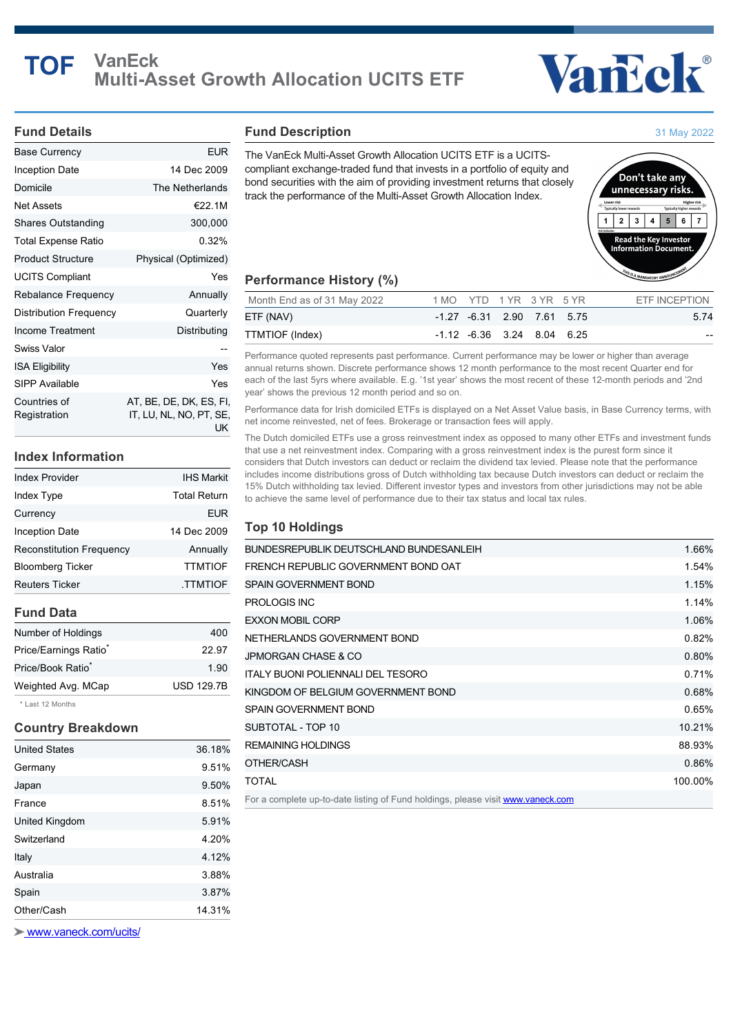# **TOF VanEck Multi-Asset Growth Allocation UCITS ETF**

# Vancok®

#### **Fund Details**

| Base Currency                 | EUR                                                      |
|-------------------------------|----------------------------------------------------------|
| Inception Date                | 14 Dec 2009                                              |
| Domicile                      | The Netherlands                                          |
| Net Assets                    | €22.1M                                                   |
| <b>Shares Outstanding</b>     | 300,000                                                  |
| Total Expense Ratio           | 0.32%                                                    |
| <b>Product Structure</b>      | Physical (Optimized)                                     |
| <b>UCITS Compliant</b>        | Yes                                                      |
| <b>Rebalance Frequency</b>    | Annually                                                 |
| <b>Distribution Frequency</b> | Quarterly                                                |
| Income Treatment              | Distributing                                             |
| Swiss Valor                   |                                                          |
| <b>ISA Eligibility</b>        | Yes                                                      |
| SIPP Available                | Yes                                                      |
| Countries of<br>Registration  | AT, BE, DE, DK, ES, FI,<br>IT, LU, NL, NO, PT, SE,<br>UK |

# **Index Information**

| Index Provider           | <b>IHS Markit</b>   |
|--------------------------|---------------------|
| Index Type               | <b>Total Return</b> |
| Currency                 | EUR                 |
| <b>Inception Date</b>    | 14 Dec 2009         |
| Reconstitution Frequency | Annually            |
| Bloomberg Ticker         | <b>TTMTIOF</b>      |
| <b>Reuters Ticker</b>    | <b>TTMTIOF</b>      |
|                          |                     |

# **Fund Data**

| Number of Holdings                | 400               |
|-----------------------------------|-------------------|
| Price/Earnings Ratio <sup>®</sup> | 22.97             |
| Price/Book Ratio <sup>*</sup>     | 1.90              |
| Weighted Avg. MCap                | <b>USD 129.7B</b> |
|                                   |                   |

\* Last 12 Months

## **Country Breakdown**

| Other/Cash           | 14.31% |
|----------------------|--------|
| Spain                | 3.87%  |
| Australia            | 3.88%  |
| Italy                | 4.12%  |
| Switzerland          | 4.20%  |
| United Kingdom       | 5.91%  |
| France               | 8.51%  |
| Japan                | 9.50%  |
| Germany              | 9.51%  |
| <b>United States</b> | 36.18% |

 [www.vaneck.com/ucits/](http://www.vaneck.com/ucits/)

#### **Fund Description**

The VanEck Multi-Asset Growth Allocation UCITS ETF is a UCITScompliant exchange-traded fund that invests in a portfolio of equity and bond securities with the aim of providing investment returns that closely track the performance of the Multi-Asset Growth Allocation Index.



31 May 2022

#### **Performance History (%)**

| Month End as of 31 May 2022 | 1 MO YTD 1 YR 3 YR 5 YR |                                      |  | ETF INCEPTION |
|-----------------------------|-------------------------|--------------------------------------|--|---------------|
| ETF (NAV)                   |                         | $-1.27$ $-6.31$ 2.90 7.61 5.75       |  | 5.74          |
| TTMTIOF (Index)             |                         | $-1.12$ $-6.36$ $3.24$ $8.04$ $6.25$ |  | $- -$         |

Performance quoted represents past performance. Current performance may be lower or higher than average annual returns shown. Discrete performance shows 12 month performance to the most recent Quarter end for each of the last 5yrs where available. E.g. '1st year' shows the most recent of these 12-month periods and '2nd year' shows the previous 12 month period and so on.

Performance data for Irish domiciled ETFs is displayed on a Net Asset Value basis, in Base Currency terms, with net income reinvested, net of fees. Brokerage or transaction fees will apply.

The Dutch domiciled ETFs use a gross reinvestment index as opposed to many other ETFs and investment funds that use a net reinvestment index. Comparing with a gross reinvestment index is the purest form since it considers that Dutch investors can deduct or reclaim the dividend tax levied. Please note that the performance includes income distributions gross of Dutch withholding tax because Dutch investors can deduct or reclaim the 15% Dutch withholding tax levied. Different investor types and investors from other jurisdictions may not be able to achieve the same level of performance due to their tax status and local tax rules.

### **Top 10 Holdings**

| BUNDESREPUBLIK DEUTSCHLAND BUNDESANLEIH  | 1.66%   |
|------------------------------------------|---------|
| FRENCH REPUBLIC GOVERNMENT BOND OAT      | 1.54%   |
| SPAIN GOVERNMENT BOND                    | 1.15%   |
| PROLOGIS INC                             | 1.14%   |
| <b>EXXON MOBIL CORP</b>                  | 1.06%   |
| NETHERLANDS GOVERNMENT BOND              | 0.82%   |
| JPMORGAN CHASE & CO                      | 0.80%   |
| <b>ITALY BUONI POLIENNALI DEL TESORO</b> | 0.71%   |
| KINGDOM OF BELGIUM GOVERNMENT BOND       | 0.68%   |
| SPAIN GOVERNMENT BOND                    | 0.65%   |
| SUBTOTAL - TOP 10                        | 10.21%  |
| REMAINING HOLDINGS                       | 88.93%  |
| OTHER/CASH                               | 0.86%   |
| TOTAL                                    | 100.00% |
|                                          |         |

For a complete up-to-date listing of Fund holdings, please visit **[www.vaneck.com](https://www.vaneck.com/ucits/)**